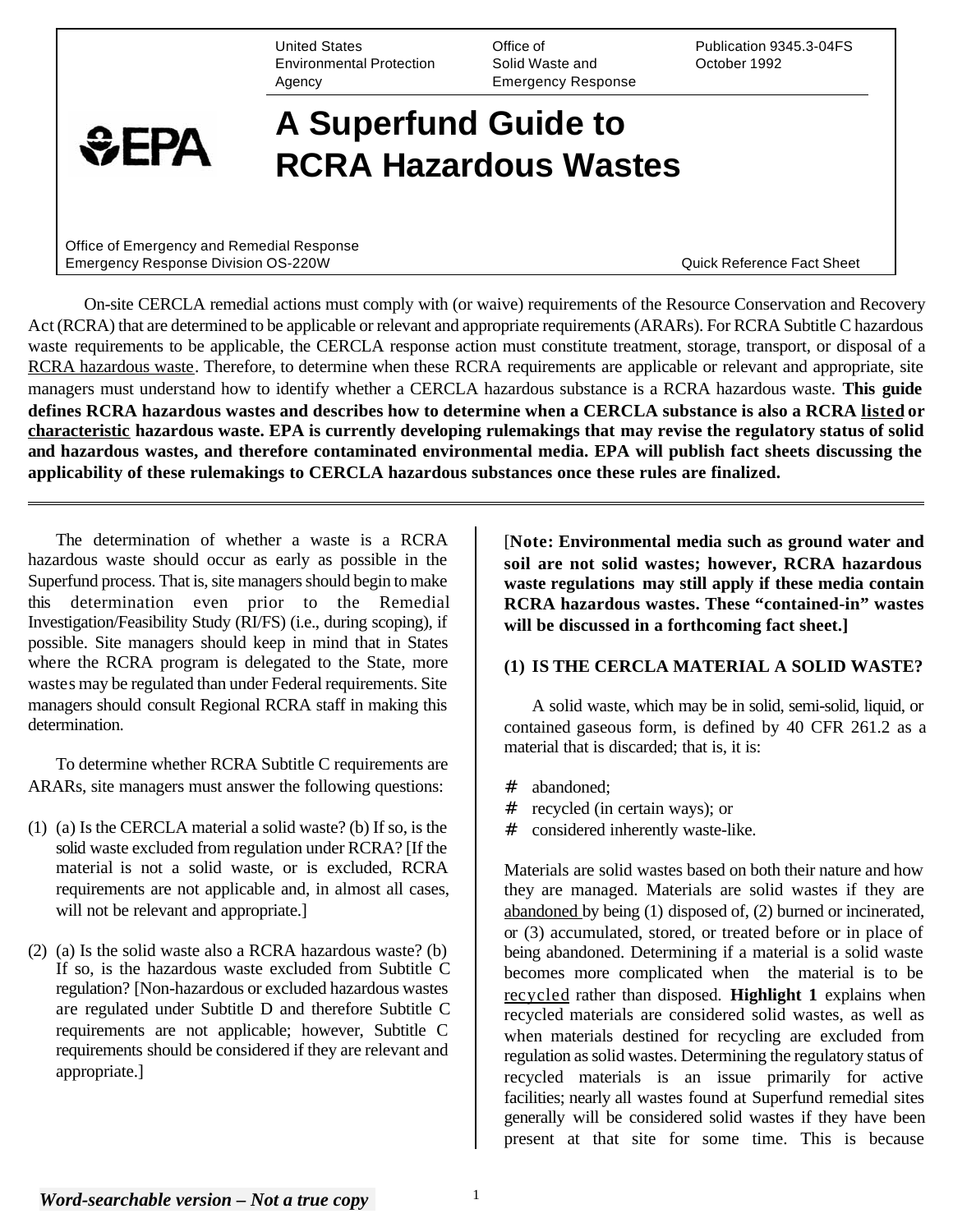United States Environmental Protection **Agency** 

Office of Solid Waste and Emergency Response Publication 9345.3-04FS October 1992

# **A Superfund Guide to RCRA Hazardous Wastes**

Office of Emergency and Remedial Response Emergency Response Division OS-220W **Contained Act Sheet Contained Act Sheet Contained Act Sheet Contained Act Sheet** 

 $EPA$ 

On-site CERCLA remedial actions must comply with (or waive) requirements of the Resource Conservation and Recovery Act (RCRA) that are determined to be applicable or relevant and appropriate requirements (ARARs). For RCRA Subtitle C hazardous waste requirements to be applicable, the CERCLA response action must constitute treatment, storage, transport, or disposal of a RCRA hazardous waste. Therefore, to determine when these RCRA requirements are applicable or relevant and appropriate, site managers must understand how to identify whether a CERCLA hazardous substance is a RCRA hazardous waste. **This guide defines RCRA hazardous wastes and describes how to determine when a CERCLA substance is also a RCRA listed or characteristic hazardous waste. EPA is currently developing rulemakings that may revise the regulatory status of solid and hazardous wastes, and therefore contaminated environmental media. EPA will publish fact sheets discussing the applicability of these rulemakings to CERCLA hazardous substances once these rules are finalized.** 

The determination of whether a waste is a RCRA hazardous waste should occur as early as possible in the Superfund process. That is, site managers should begin to make this determination even prior to the Remedial Investigation/Feasibility Study (RI/FS) (i.e., during scoping), if possible. Site managers should keep in mind that in States where the RCRA program is delegated to the State, more wastes may be regulated than under Federal requirements. Site managers should consult Regional RCRA staff in making this determination.

To determine whether RCRA Subtitle C requirements are ARARs, site managers must answer the following questions:

- (1) (a) Is the CERCLA material a solid waste? (b) If so, is the solid waste excluded from regulation under RCRA? [If the material is not a solid waste, or is excluded, RCRA requirements are not applicable and, in almost all cases, will not be relevant and appropriate.
- (2) (a) Is the solid waste also a RCRA hazardous waste? (b) If so, is the hazardous waste excluded from Subtitle C regulation? [Non-hazardous or excluded hazardous wastes are regulated under Subtitle D and therefore Subtitle C requirements are not applicable; however, Subtitle C requirements should be considered if they are relevant and appropriate.]

[**Note: Environmental media such as ground water and soil are not solid wastes; however, RCRA hazardous waste regulations may still apply if these media contain RCRA hazardous wastes. These "contained-in" wastes will be discussed in a forthcoming fact sheet.]** 

## **(1) IS THE CERCLA MATERIAL A SOLID WASTE?**

A solid waste, which may be in solid, semi-solid, liquid, or contained gaseous form, is defined by 40 CFR 261.2 as a material that is discarded; that is, it is:

- # abandoned;
- # recycled (in certain ways); or
- # considered inherently waste-like.

Materials are solid wastes based on both their nature and how they are managed. Materials are solid wastes if they are abandoned by being (1) disposed of, (2) burned or incinerated, or (3) accumulated, stored, or treated before or in place of being abandoned. Determining if a material is a solid waste becomes more complicated when the material is to be recycled rather than disposed. **Highlight 1** explains when recycled materials are considered solid wastes, as well as when materials destined for recycling are excluded from regulation as solid wastes. Determining the regulatory status of recycled materials is an issue primarily for active facilities; nearly all wastes found at Superfund remedial sites generally will be considered solid wastes if they have been present at that site for some time. This is because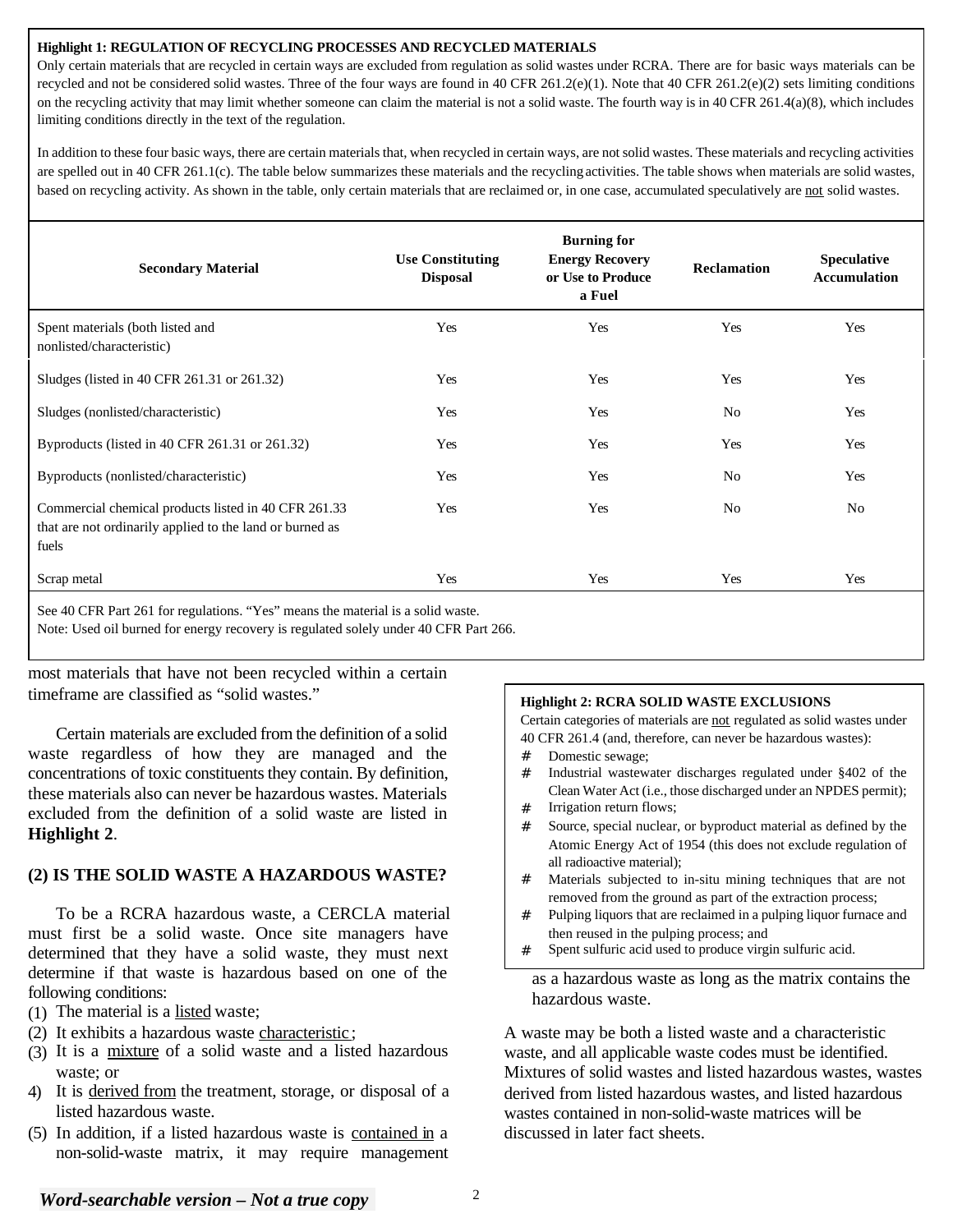#### **Highlight 1: REGULATION OF RECYCLING PROCESSES AND RECYCLED MATERIALS**

Only certain materials that are recycled in certain ways are excluded from regulation as solid wastes under RCRA. There are for basic ways materials can be recycled and not be considered solid wastes. Three of the four ways are found in 40 CFR 261.2(e)(1). Note that 40 CFR 261.2(e)(2) sets limiting conditions on the recycling activity that may limit whether someone can claim the material is not a solid waste. The fourth way is in 40 CFR 261.4(a)(8), which includes limiting conditions directly in the text of the regulation.

In addition to these four basic ways, there are certain materials that, when recycled in certain ways, are not solid wastes. These materials and recycling activities are spelled out in 40 CFR 261.1(c). The table below summarizes these materials and the recycling activities. The table shows when materials are solid wastes, based on recycling activity. As shown in the table, only certain materials that are reclaimed or, in one case, accumulated speculatively are not solid wastes.

| <b>Secondary Material</b>                                                                                                 | <b>Use Constituting</b><br><b>Disposal</b> | <b>Burning for</b><br><b>Energy Recovery</b><br>or Use to Produce<br>a Fuel | <b>Reclamation</b> | <b>Speculative</b><br><b>Accumulation</b> |
|---------------------------------------------------------------------------------------------------------------------------|--------------------------------------------|-----------------------------------------------------------------------------|--------------------|-------------------------------------------|
| Spent materials (both listed and<br>nonlisted/characteristic)                                                             | Yes                                        | Yes                                                                         | Yes                | Yes                                       |
| Sludges (listed in 40 CFR 261.31 or 261.32)                                                                               | Yes                                        | Yes                                                                         | Yes                | Yes                                       |
| Sludges (nonlisted/characteristic)                                                                                        | Yes                                        | Yes                                                                         | No                 | Yes                                       |
| Byproducts (listed in 40 CFR 261.31 or 261.32)                                                                            | Yes                                        | Yes                                                                         | Yes                | Yes                                       |
| Byproducts (nonlisted/characteristic)                                                                                     | Yes                                        | Yes                                                                         | No                 | Yes                                       |
| Commercial chemical products listed in 40 CFR 261.33<br>that are not ordinarily applied to the land or burned as<br>fuels | Yes                                        | Yes                                                                         | No                 | No                                        |
| Scrap metal                                                                                                               | Yes                                        | Yes                                                                         | Yes                | Yes                                       |
| $10.00000 \times 0.010$<br>$\sqrt{2}$<br>$\mathbf{r}$<br>$\sim$ 100 $\sim$ 100 $\sim$                                     | .<br>$\cdots$                              |                                                                             |                    |                                           |

See 40 CFR Part 261 for regulations. "Yes" means the material is a solid waste. Note: Used oil burned for energy recovery is regulated solely under 40 CFR Part 266.

most materials that have not been recycled within a certain timeframe are classified as "solid wastes."

Certain materials are excluded from the definition of a solid waste regardless of how they are managed and the concentrations of toxic constituents they contain. By definition, these materials also can never be hazardous wastes. Materials excluded from the definition of a solid waste are listed in **Highlight 2**.

# **(2) IS THE SOLID WASTE A HAZARDOUS WASTE?**

To be a RCRA hazardous waste, a CERCLA material must first be a solid waste. Once site managers have determined that they have a solid waste, they must next determine if that waste is hazardous based on one of the following conditions:

- (1) The material is a listed waste;
- (2) It exhibits a hazardous waste characteristic ;
- (3) It is a mixture of a solid waste and a listed hazardous waste; or
- 4) It is derived from the treatment, storage, or disposal of a listed hazardous waste.
- (5) In addition, if a listed hazardous waste is contained in a non-solid-waste matrix, it may require management

# **Highlight 2: RCRA SOLID WASTE EXCLUSIONS**

Certain categories of materials are not regulated as solid wastes under 40 CFR 261.4 (and, therefore, can never be hazardous wastes):

- # Domestic sewage;
- # Industrial wastewater discharges regulated under §402 of the Clean Water Act (i.e., those discharged under an NPDES permit);
- # Irrigation return flows;
- # Source, special nuclear, or byproduct material as defined by the Atomic Energy Act of 1954 (this does not exclude regulation of all radioactive material);
- Materials subjected to in-situ mining techniques that are not removed from the ground as part of the extraction process;
- # Pulping liquors that are reclaimed in a pulping liquor furnace and then reused in the pulping process; and
- Spent sulfuric acid used to produce virgin sulfuric acid.

as a hazardous waste as long as the matrix contains the hazardous waste.

A waste may be both a listed waste and a characteristic waste, and all applicable waste codes must be identified. Mixtures of solid wastes and listed hazardous wastes, wastes derived from listed hazardous wastes, and listed hazardous wastes contained in non-solid-waste matrices will be discussed in later fact sheets.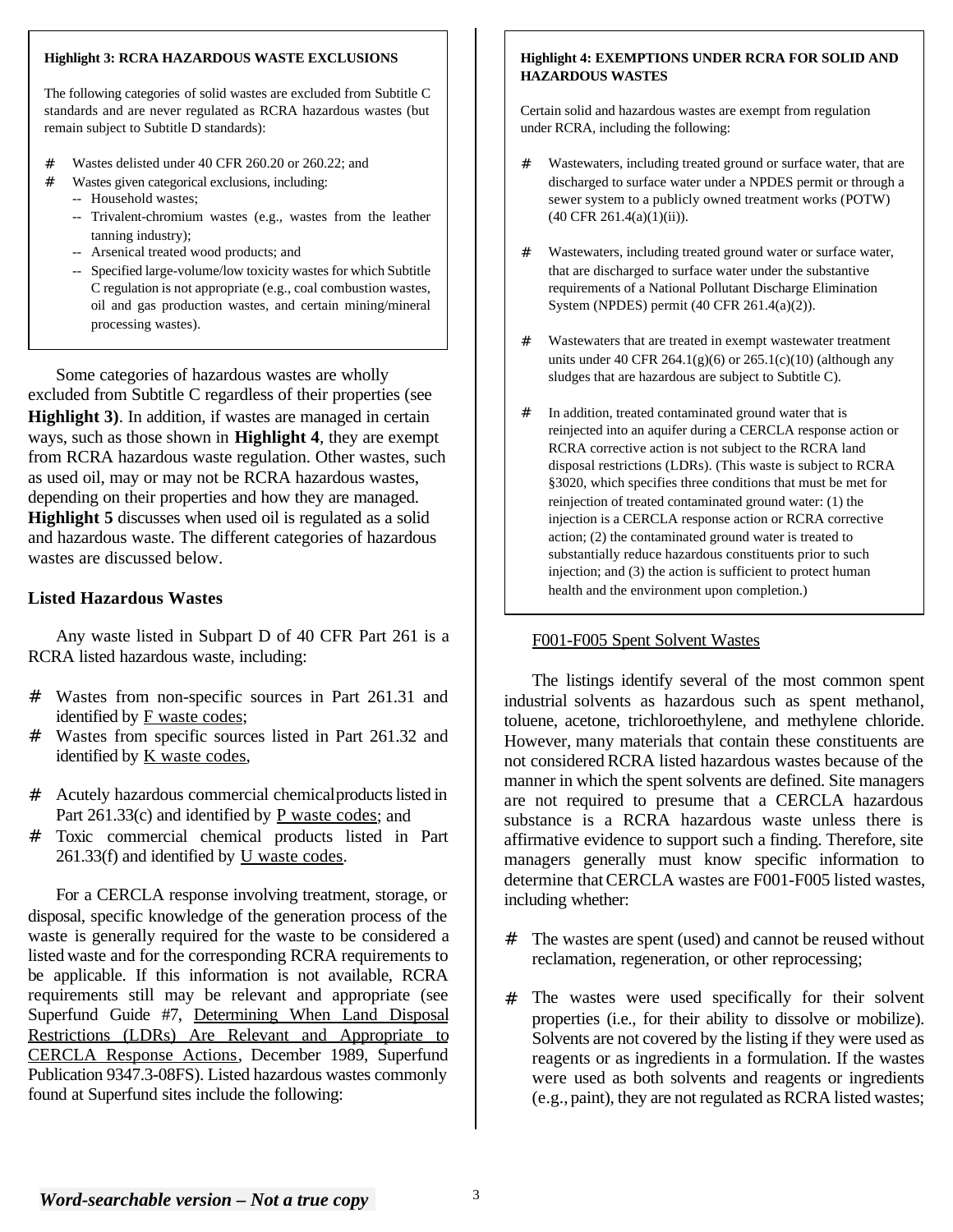#### **Highlight 3: RCRA HAZARDOUS WASTE EXCLUSIONS**

The following categories of solid wastes are excluded from Subtitle C standards and are never regulated as RCRA hazardous wastes (but remain subject to Subtitle D standards):

- # Wastes delisted under 40 CFR 260.20 or 260.22; and
- -- Household wastes; # Wastes given categorical exclusions, including:
	- -- Trivalent-chromium wastes (e.g., wastes from the leather tanning industry);
	- -- Arsenical treated wood products; and
	- -- Specified large-volume/low toxicity wastes for which Subtitle C regulation is not appropriate (e.g., coal combustion wastes, oil and gas production wastes, and certain mining/mineral processing wastes).

Some categories of hazardous wastes are wholly excluded from Subtitle C regardless of their properties (see **Highlight 3)**. In addition, if wastes are managed in certain ways, such as those shown in **Highlight 4**, they are exempt from RCRA hazardous waste regulation. Other wastes, such as used oil, may or may not be RCRA hazardous wastes, depending on their properties and how they are managed. **Highlight 5** discusses when used oil is regulated as a solid and hazardous waste. The different categories of hazardous wastes are discussed below.

# **Listed Hazardous Wastes**

Any waste listed in Subpart D of 40 CFR Part 261 is a RCRA listed hazardous waste, including:

- # Wastes from non-specific sources in Part 261.31 and identified by F waste codes;
- # Wastes from specific sources listed in Part 261.32 and identified by K waste codes,
- # Acutely hazardous commercial chemicalproducts listed in Part 261.33(c) and identified by P waste codes; and
- # Toxic commercial chemical products listed in Part 261.33(f) and identified by U waste codes.

For a CERCLA response involving treatment, storage, or disposal, specific knowledge of the generation process of the waste is generally required for the waste to be considered a listed waste and for the corresponding RCRA requirements to be applicable. If this information is not available, RCRA requirements still may be relevant and appropriate (see Superfund Guide #7, Determining When Land Disposal Restrictions (LDRs) Are Relevant and Appropriate to CERCLA Response Actions, December 1989, Superfund Publication 9347.3-08FS). Listed hazardous wastes commonly

#### **Highlight 4: EXEMPTIONS UNDER RCRA FOR SOLID AND HAZARDOUS WASTES**

Certain solid and hazardous wastes are exempt from regulation under RCRA, including the following:

- Wastewaters, including treated ground or surface water, that are discharged to surface water under a NPDES permit or through a sewer system to a publicly owned treatment works (POTW) (40 CFR 261.4(a)(1)(ii)).
- # Wastewaters, including treated ground water or surface water, that are discharged to surface water under the substantive requirements of a National Pollutant Discharge Elimination System (NPDES) permit (40 CFR 261.4(a)(2)).
- # Wastewaters that are treated in exempt wastewater treatment units under 40 CFR 264.1(g)(6) or  $265.1(c)(10)$  (although any sludges that are hazardous are subject to Subtitle C).
- # In addition, treated contaminated ground water that is reinjected into an aquifer during a CERCLA response action or RCRA corrective action is not subject to the RCRA land disposal restrictions (LDRs). (This waste is subject to RCRA §3020, which specifies three conditions that must be met for reinjection of treated contaminated ground water: (1) the injection is a CERCLA response action or RCRA corrective action; (2) the contaminated ground water is treated to substantially reduce hazardous constituents prior to such injection; and (3) the action is sufficient to protect human health and the environment upon completion.)

## F001-F005 Spent Solvent Wastes

The listings identify several of the most common spent industrial solvents as hazardous such as spent methanol, toluene, acetone, trichloroethylene, and methylene chloride. However, many materials that contain these constituents are not considered RCRA listed hazardous wastes because of the manner in which the spent solvents are defined. Site managers are not required to presume that a CERCLA hazardous substance is a RCRA hazardous waste unless there is affirmative evidence to support such a finding. Therefore, site managers generally must know specific information to determine that CERCLA wastes are F001-F005 listed wastes, including whether:

- # The wastes are spent (used) and cannot be reused without reclamation, regeneration, or other reprocessing;
- # The wastes were used specifically for their solvent properties (i.e., for their ability to dissolve or mobilize). Solvents are not covered by the listing if they were used as reagents or as ingredients in a formulation. If the wastes were used as both solvents and reagents or ingredients found at Superfund sites include the following:<br>  $(e.g., paint)$ , they are not regulated as RCRA listed wastes;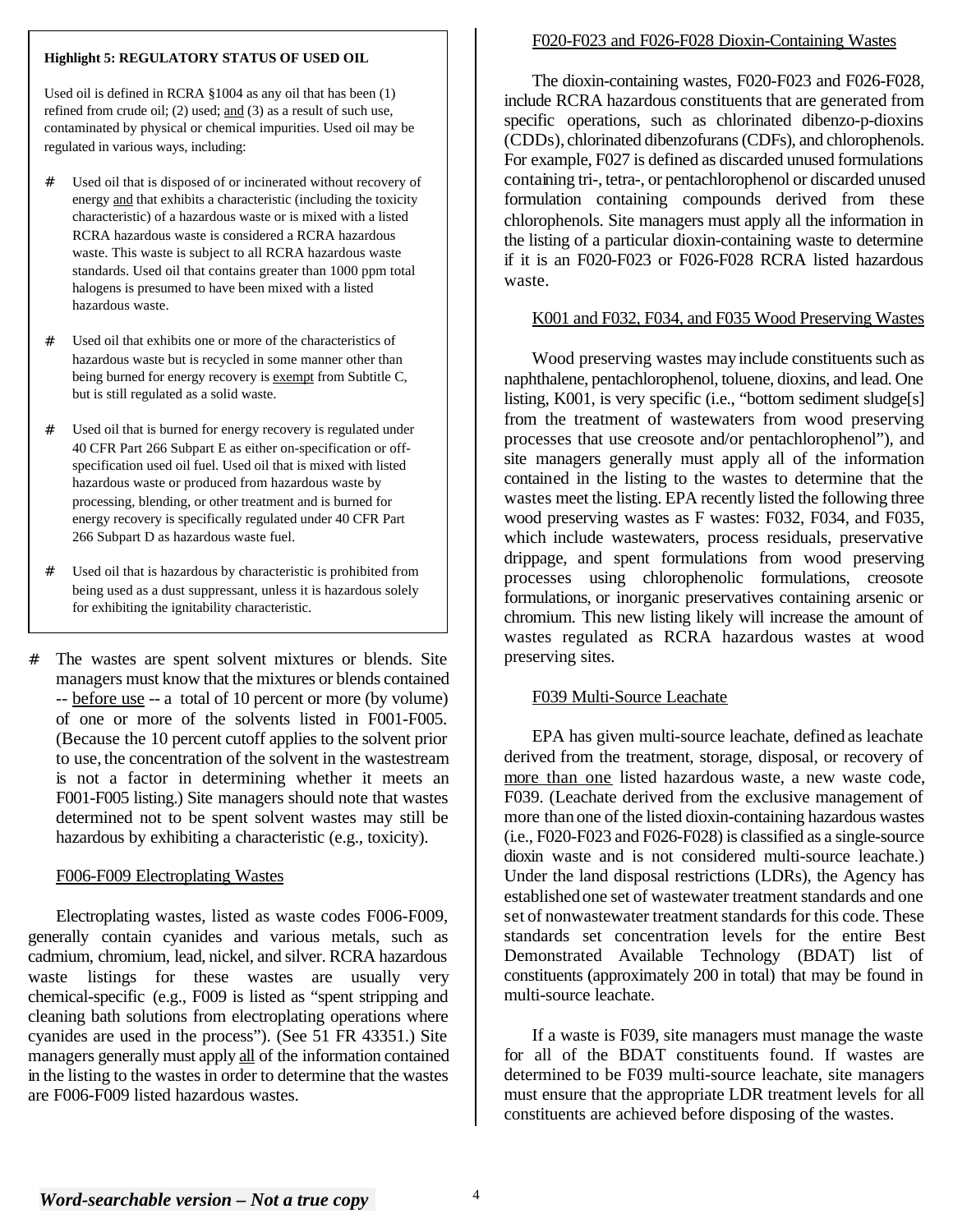#### **Highlight 5: REGULATORY STATUS OF USED OIL**

Used oil is defined in RCRA §1004 as any oil that has been (1) refined from crude oil; (2) used; and (3) as a result of such use, contaminated by physical or chemical impurities. Used oil may be regulated in various ways, including:

- # Used oil that is disposed of or incinerated without recovery of energy and that exhibits a characteristic (including the toxicity characteristic) of a hazardous waste or is mixed with a listed RCRA hazardous waste is considered a RCRA hazardous waste. This waste is subject to all RCRA hazardous waste standards. Used oil that contains greater than 1000 ppm total halogens is presumed to have been mixed with a listed hazardous waste.
- # Used oil that exhibits one or more of the characteristics of hazardous waste but is recycled in some manner other than being burned for energy recovery is exempt from Subtitle C, but is still regulated as a solid waste.
- # Used oil that is burned for energy recovery is regulated under 40 CFR Part 266 Subpart E as either on-specification or offspecification used oil fuel. Used oil that is mixed with listed hazardous waste or produced from hazardous waste by processing, blending, or other treatment and is burned for energy recovery is specifically regulated under 40 CFR Part 266 Subpart D as hazardous waste fuel.
- # Used oil that is hazardous by characteristic is prohibited from being used as a dust suppressant, unless it is hazardous solely for exhibiting the ignitability characteristic.
- # The wastes are spent solvent mixtures or blends. Site managers must know that the mixtures or blends contained -- before use -- a total of 10 percent or more (by volume) of one or more of the solvents listed in F001-F005. (Because the 10 percent cutoff applies to the solvent prior to use, the concentration of the solvent in the wastestream is not a factor in determining whether it meets an F001-F005 listing.) Site managers should note that wastes determined not to be spent solvent wastes may still be hazardous by exhibiting a characteristic (e.g., toxicity).

## F006-F009 Electroplating Wastes

Electroplating wastes, listed as waste codes F006-F009, generally contain cyanides and various metals, such as cadmium, chromium, lead, nickel, and silver. RCRA hazardous waste listings for these wastes are usually very chemical-specific (e.g., F009 is listed as "spent stripping and cleaning bath solutions from electroplating operations where cyanides are used in the process"). (See 51 FR 43351.) Site managers generally must apply all of the information contained in the listing to the wastes in order to determine that the wastes are F006-F009 listed hazardous wastes.

# F020-F023 and F026-F028 Dioxin-Containing Wastes

The dioxin-containing wastes, F020-F023 and F026-F028, include RCRA hazardous constituents that are generated from specific operations, such as chlorinated dibenzo-p-dioxins (CDDs), chlorinated dibenzofurans (CDFs), and chlorophenols. For example, F027 is defined as discarded unused formulations containing tri-, tetra-, or pentachlorophenol or discarded unused formulation containing compounds derived from these chlorophenols. Site managers must apply all the information in the listing of a particular dioxin-containing waste to determine if it is an F020-F023 or F026-F028 RCRA listed hazardous waste.

# K001 and F032, F034, and F035 Wood Preserving Wastes

Wood preserving wastes may include constituents such as naphthalene, pentachlorophenol, toluene, dioxins, and lead. One listing, K001, is very specific (i.e., "bottom sediment sludge[s] from the treatment of wastewaters from wood preserving processes that use creosote and/or pentachlorophenol"), and site managers generally must apply all of the information contained in the listing to the wastes to determine that the wastes meet the listing. EPA recently listed the following three wood preserving wastes as F wastes: F032, F034, and F035, which include wastewaters, process residuals, preservative drippage, and spent formulations from wood preserving processes using chlorophenolic formulations, creosote formulations, or inorganic preservatives containing arsenic or chromium. This new listing likely will increase the amount of wastes regulated as RCRA hazardous wastes at wood preserving sites.

## F039 Multi-Source Leachate

EPA has given multi-source leachate, defined as leachate derived from the treatment, storage, disposal, or recovery of more than one listed hazardous waste, a new waste code, F039. (Leachate derived from the exclusive management of more than one of the listed dioxin-containing hazardous wastes (i.e., F020-F023 and F026-F028) is classified as a single-source dioxin waste and is not considered multi-source leachate.) Under the land disposal restrictions (LDRs), the Agency has established one set of wastewater treatment standards and one set of nonwastewater treatment standards for this code. These standards set concentration levels for the entire Best Demonstrated Available Technology (BDAT) list of constituents (approximately 200 in total) that may be found in multi-source leachate.

If a waste is F039, site managers must manage the waste for all of the BDAT constituents found. If wastes are determined to be F039 multi-source leachate, site managers must ensure that the appropriate LDR treatment levels for all constituents are achieved before disposing of the wastes.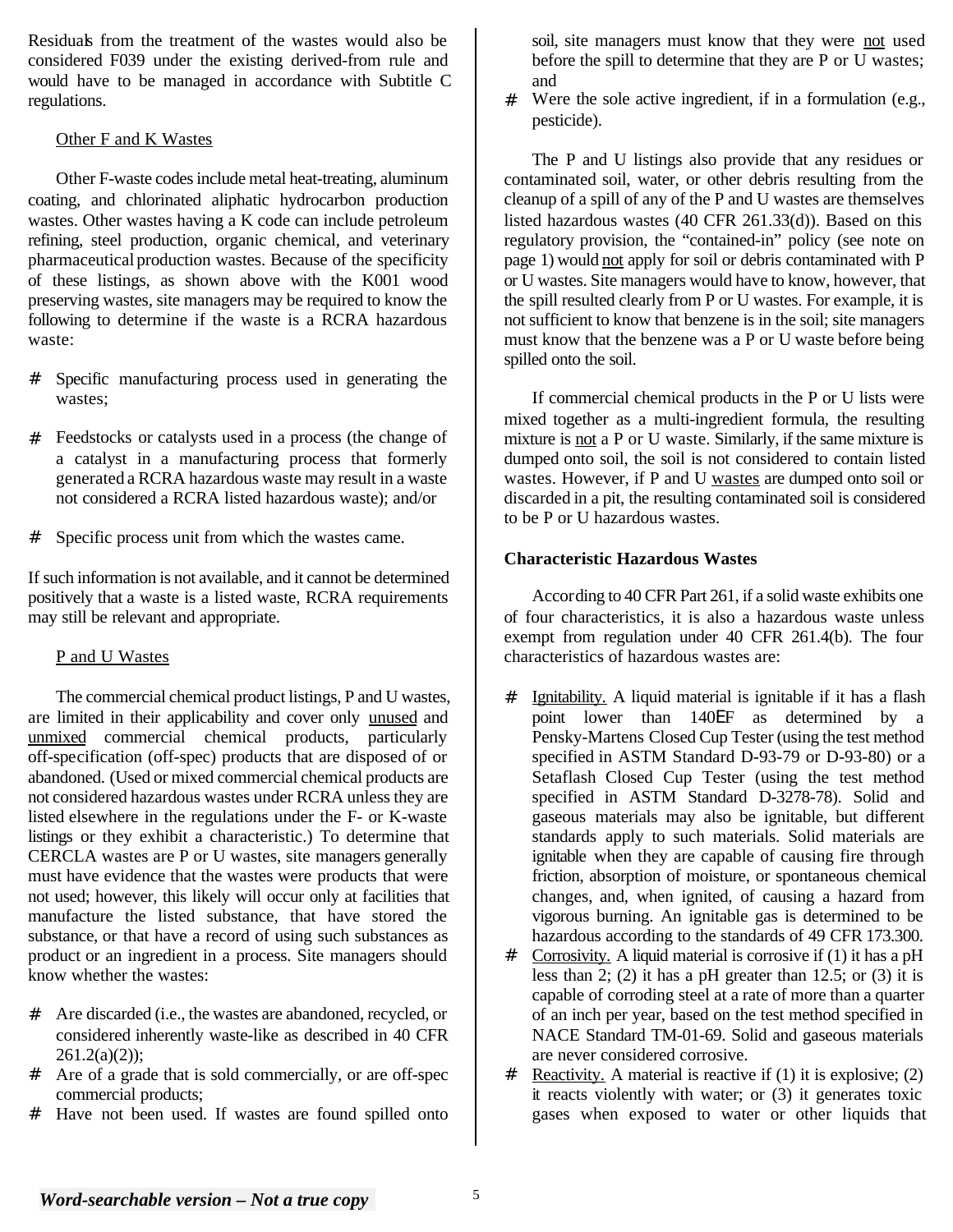Residuals from the treatment of the wastes would also be considered F039 under the existing derived-from rule and would have to be managed in accordance with Subtitle C regulations.

## Other F and K Wastes

Other F-waste codes include metal heat-treating, aluminum coating, and chlorinated aliphatic hydrocarbon production wastes. Other wastes having a K code can include petroleum refining, steel production, organic chemical, and veterinary pharmaceutical production wastes. Because of the specificity of these listings, as shown above with the K001 wood preserving wastes, site managers may be required to know the following to determine if the waste is a RCRA hazardous waste:

- # Specific manufacturing process used in generating the wastes;
- # Feedstocks or catalysts used in a process (the change of a catalyst in a manufacturing process that formerly generated a RCRA hazardous waste may result in a waste not considered a RCRA listed hazardous waste); and/or
- # Specific process unit from which the wastes came.

If such information is not available, and it cannot be determined positively that a waste is a listed waste, RCRA requirements may still be relevant and appropriate.

# P and U Wastes

The commercial chemical product listings, P and U wastes, are limited in their applicability and cover only unused and unmixed commercial chemical products, particularly off-specification (off-spec) products that are disposed of or abandoned. (Used or mixed commercial chemical products are not considered hazardous wastes under RCRA unless they are listed elsewhere in the regulations under the F- or K-waste listings or they exhibit a characteristic.) To determine that CERCLA wastes are P or U wastes, site managers generally must have evidence that the wastes were products that were not used; however, this likely will occur only at facilities that manufacture the listed substance, that have stored the substance, or that have a record of using such substances as product or an ingredient in a process. Site managers should know whether the wastes:

- # Are discarded (i.e., the wastes are abandoned, recycled, or considered inherently waste-like as described in 40 CFR 261.2(a)(2));
- # Are of a grade that is sold commercially, or are off-spec commercial products;
- # Have not been used. If wastes are found spilled onto

soil, site managers must know that they were not used before the spill to determine that they are P or U wastes; and

# Were the sole active ingredient, if in a formulation (e.g., pesticide).

The P and U listings also provide that any residues or contaminated soil, water, or other debris resulting from the cleanup of a spill of any of the P and U wastes are themselves listed hazardous wastes (40 CFR 261.33(d)). Based on this regulatory provision, the "contained-in" policy (see note on page 1) would not apply for soil or debris contaminated with P or U wastes. Site managers would have to know, however, that the spill resulted clearly from P or U wastes. For example, it is not sufficient to know that benzene is in the soil; site managers must know that the benzene was a P or U waste before being spilled onto the soil.

If commercial chemical products in the P or U lists were mixed together as a multi-ingredient formula, the resulting mixture is not a P or U waste. Similarly, if the same mixture is dumped onto soil, the soil is not considered to contain listed wastes. However, if P and U wastes are dumped onto soil or discarded in a pit, the resulting contaminated soil is considered to be P or U hazardous wastes.

## **Characteristic Hazardous Wastes**

According to 40 CFR Part 261, if a solid waste exhibits one of four characteristics, it is also a hazardous waste unless exempt from regulation under 40 CFR 261.4(b). The four characteristics of hazardous wastes are:

- # Ignitability. A liquid material is ignitable if it has a flash point lower than 140EF as determined by a Pensky-Martens Closed Cup Tester (using the test method specified in ASTM Standard D-93-79 or D-93-80) or a Setaflash Closed Cup Tester (using the test method specified in ASTM Standard D-3278-78). Solid and gaseous materials may also be ignitable, but different standards apply to such materials. Solid materials are ignitable when they are capable of causing fire through friction, absorption of moisture, or spontaneous chemical changes, and, when ignited, of causing a hazard from vigorous burning. An ignitable gas is determined to be hazardous according to the standards of 49 CFR 173.300.
- # Corrosivity. A liquid material is corrosive if (1) it has a pH less than 2; (2) it has a pH greater than 12.5; or (3) it is capable of corroding steel at a rate of more than a quarter of an inch per year, based on the test method specified in NACE Standard TM-01-69. Solid and gaseous materials are never considered corrosive.
- # Reactivity. A material is reactive if  $(1)$  it is explosive;  $(2)$ it reacts violently with water; or (3) it generates toxic gases when exposed to water or other liquids that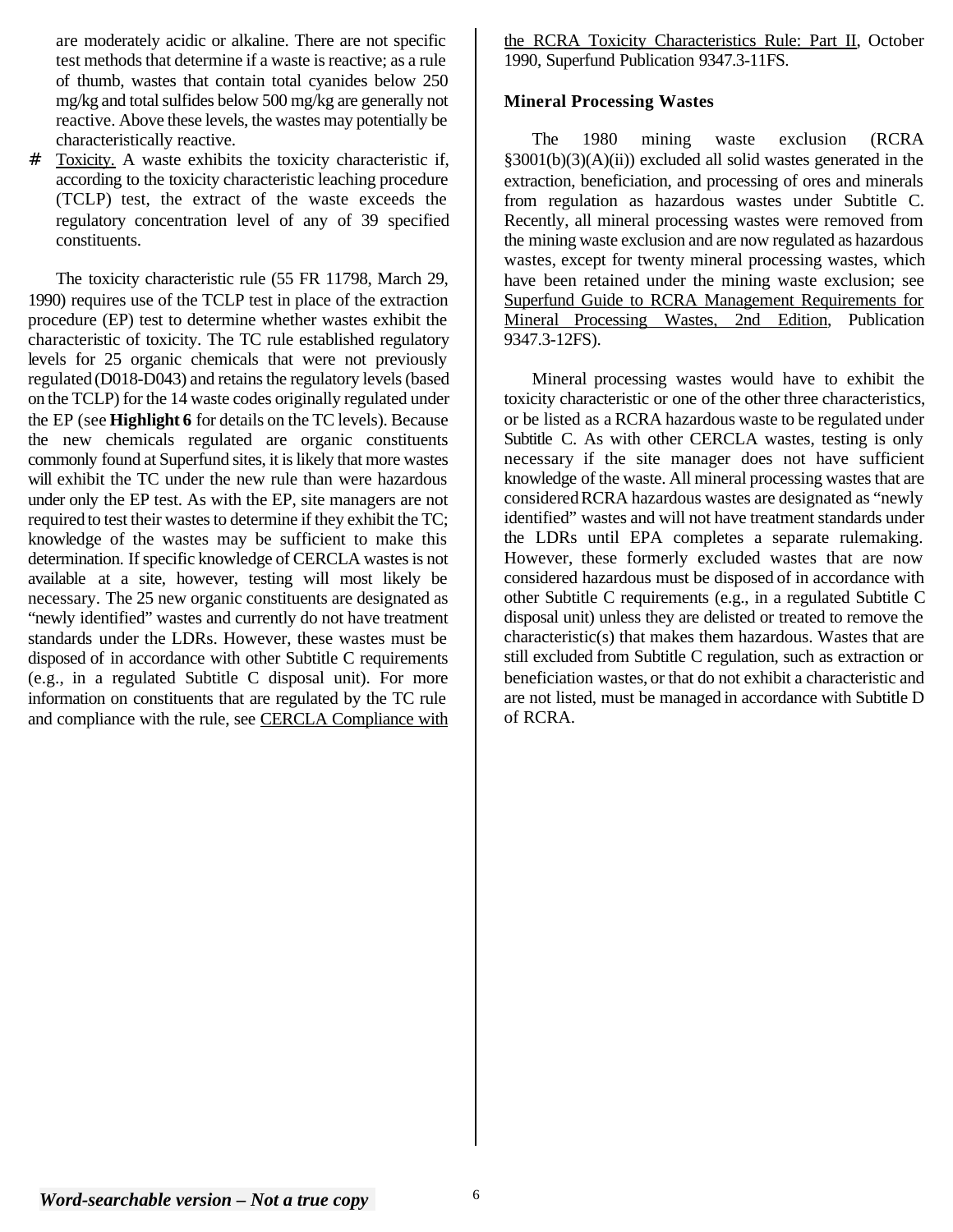are moderately acidic or alkaline. There are not specific test methods that determine if a waste is reactive; as a rule of thumb, wastes that contain total cyanides below 250 mg/kg and total sulfides below 500 mg/kg are generally not reactive. Above these levels, the wastes may potentially be characteristically reactive.

Toxicity. A waste exhibits the toxicity characteristic if, according to the toxicity characteristic leaching procedure (TCLP) test, the extract of the waste exceeds the regulatory concentration level of any of 39 specified constituents.

The toxicity characteristic rule (55 FR 11798, March 29, 1990) requires use of the TCLP test in place of the extraction procedure (EP) test to determine whether wastes exhibit the characteristic of toxicity. The TC rule established regulatory levels for 25 organic chemicals that were not previously regulated (D018-D043) and retains the regulatory levels (based on the TCLP) for the 14 waste codes originally regulated under the EP (see **Highlight 6** for details on the TC levels). Because the new chemicals regulated are organic constituents commonly found at Superfund sites, it is likely that more wastes will exhibit the TC under the new rule than were hazardous under only the EP test. As with the EP, site managers are not required to test their wastes to determine if they exhibit the TC; knowledge of the wastes may be sufficient to make this determination. If specific knowledge of CERCLA wastes is not available at a site, however, testing will most likely be necessary. The 25 new organic constituents are designated as "newly identified" wastes and currently do not have treatment standards under the LDRs. However, these wastes must be disposed of in accordance with other Subtitle C requirements (e.g., in a regulated Subtitle C disposal unit). For more information on constituents that are regulated by the TC rule and compliance with the rule, see CERCLA Compliance with

the RCRA Toxicity Characteristics Rule: Part II, October 1990, Superfund Publication 9347.3-11FS.

## **Mineral Processing Wastes**

The 1980 mining waste exclusion (RCRA §3001(b)(3)(A)(ii)) excluded all solid wastes generated in the extraction, beneficiation, and processing of ores and minerals from regulation as hazardous wastes under Subtitle C. Recently, all mineral processing wastes were removed from the mining waste exclusion and are now regulated as hazardous wastes, except for twenty mineral processing wastes, which have been retained under the mining waste exclusion; see Superfund Guide to RCRA Management Requirements for Mineral Processing Wastes, 2nd Edition, Publication 9347.3-12FS).

Mineral processing wastes would have to exhibit the toxicity characteristic or one of the other three characteristics, or be listed as a RCRA hazardous waste to be regulated under Subtitle C. As with other CERCLA wastes, testing is only necessary if the site manager does not have sufficient knowledge of the waste. All mineral processing wastes that are considered RCRA hazardous wastes are designated as "newly identified" wastes and will not have treatment standards under the LDRs until EPA completes a separate rulemaking. However, these formerly excluded wastes that are now considered hazardous must be disposed of in accordance with other Subtitle C requirements (e.g., in a regulated Subtitle C disposal unit) unless they are delisted or treated to remove the characteristic(s) that makes them hazardous. Wastes that are still excluded from Subtitle C regulation, such as extraction or beneficiation wastes, or that do not exhibit a characteristic and are not listed, must be managed in accordance with Subtitle D of RCRA.